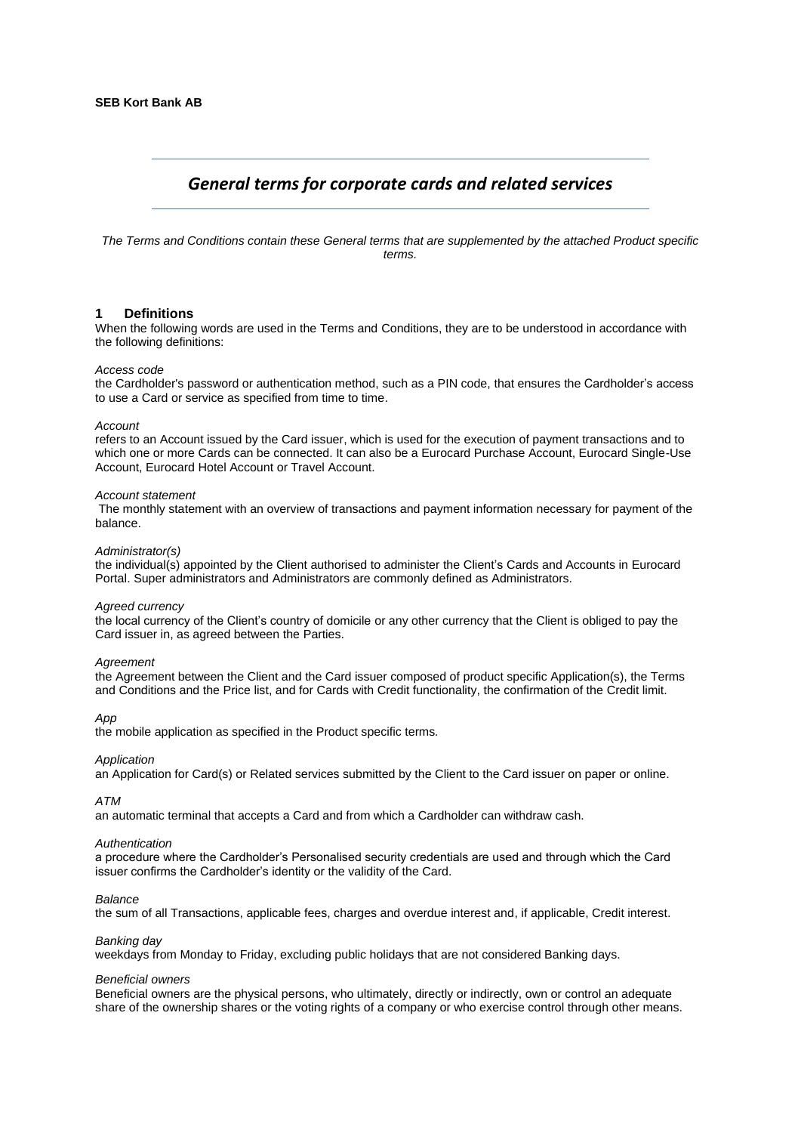# *General terms for corporate cards and related services*

*The Terms and Conditions contain these General terms that are supplemented by the attached Product specific terms.* 

#### **1 Definitions**

When the following words are used in the Terms and Conditions, they are to be understood in accordance with the following definitions:

#### *Access code*

the Cardholder's password or authentication method, such as a PIN code, that ensures the Cardholder's access to use a Card or service as specified from time to time.

#### *Account*

refers to an Account issued by the Card issuer, which is used for the execution of payment transactions and to which one or more Cards can be connected. It can also be a Eurocard Purchase Account, Eurocard Single-Use Account, Eurocard Hotel Account or Travel Account.

#### *Account statement*

The monthly statement with an overview of transactions and payment information necessary for payment of the balance.

#### *Administrator(s)*

the individual(s) appointed by the Client authorised to administer the Client's Cards and Accounts in Eurocard Portal. Super administrators and Administrators are commonly defined as Administrators.

#### *Agreed currency*

the local currency of the Client's country of domicile or any other currency that the Client is obliged to pay the Card issuer in, as agreed between the Parties.

#### *Agreement*

the Agreement between the Client and the Card issuer composed of product specific Application(s), the Terms and Conditions and the Price list, and for Cards with Credit functionality, the confirmation of the Credit limit.

#### *App*

the mobile application as specified in the Product specific terms*.*

#### *Application*

an Application for Card(s) or Related services submitted by the Client to the Card issuer on paper or online.

#### *ATM*

an automatic terminal that accepts a Card and from which a Cardholder can withdraw cash.

#### *Authentication*

a procedure where the Cardholder's Personalised security credentials are used and through which the Card issuer confirms the Cardholder's identity or the validity of the Card.

#### *Balance*

the sum of all Transactions, applicable fees, charges and overdue interest and, if applicable, Credit interest.

# *Banking day*

weekdays from Monday to Friday, excluding public holidays that are not considered Banking days.

#### *Beneficial owners*

Beneficial owners are the physical persons, who ultimately, directly or indirectly, own or control an adequate share of the ownership shares or the voting rights of a company or who exercise control through other means.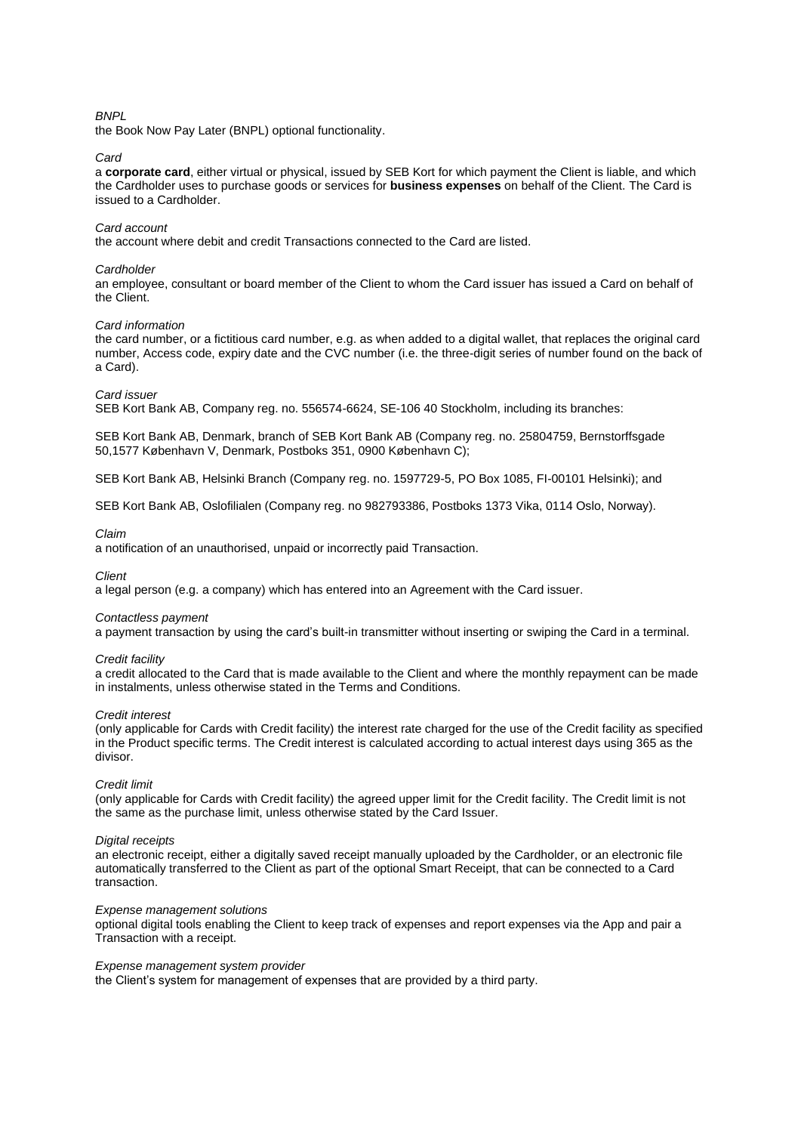# *BNPL*

the Book Now Pay Later (BNPL) optional functionality.

#### *Card*

a **corporate card**, either virtual or physical, issued by SEB Kort for which payment the Client is liable, and which the Cardholder uses to purchase goods or services for **business expenses** on behalf of the Client. The Card is issued to a Cardholder.

# *Card account*

the account where debit and credit Transactions connected to the Card are listed.

#### *Cardholder*

an employee, consultant or board member of the Client to whom the Card issuer has issued a Card on behalf of the Client.

#### *Card information*

the card number, or a fictitious card number, e.g. as when added to a digital wallet, that replaces the original card number, Access code, expiry date and the CVC number (i.e. the three-digit series of number found on the back of a Card).

#### *Card issuer*

SEB Kort Bank AB, Company reg. no. 556574-6624, SE-106 40 Stockholm, including its branches:

SEB Kort Bank AB, Denmark, branch of SEB Kort Bank AB (Company reg. no. 25804759, Bernstorffsgade 50,1577 København V, Denmark, Postboks 351, 0900 København C);

SEB Kort Bank AB, Helsinki Branch (Company reg. no. 1597729-5, PO Box 1085, FI-00101 Helsinki); and

SEB Kort Bank AB, Oslofilialen (Company reg. no 982793386, Postboks 1373 Vika, 0114 Oslo, Norway).

#### *Claim*

a notification of an unauthorised, unpaid or incorrectly paid Transaction.

*Client*

a legal person (e.g. a company) which has entered into an Agreement with the Card issuer.

#### *Contactless payment*

a payment transaction by using the card's built-in transmitter without inserting or swiping the Card in a terminal.

#### *Credit facility*

a credit allocated to the Card that is made available to the Client and where the monthly repayment can be made in instalments, unless otherwise stated in the Terms and Conditions.

#### *Credit interest*

(only applicable for Cards with Credit facility) the interest rate charged for the use of the Credit facility as specified in the Product specific terms. The Credit interest is calculated according to actual interest days using 365 as the divisor.

#### *Credit limit*

(only applicable for Cards with Credit facility) the agreed upper limit for the Credit facility. The Credit limit is not the same as the purchase limit, unless otherwise stated by the Card Issuer.

#### *Digital receipts*

an electronic receipt, either a digitally saved receipt manually uploaded by the Cardholder, or an electronic file automatically transferred to the Client as part of the optional Smart Receipt, that can be connected to a Card transaction.

#### *Expense management solutions*

optional digital tools enabling the Client to keep track of expenses and report expenses via the App and pair a Transaction with a receipt.

#### *Expense management system provider*

the Client's system for management of expenses that are provided by a third party.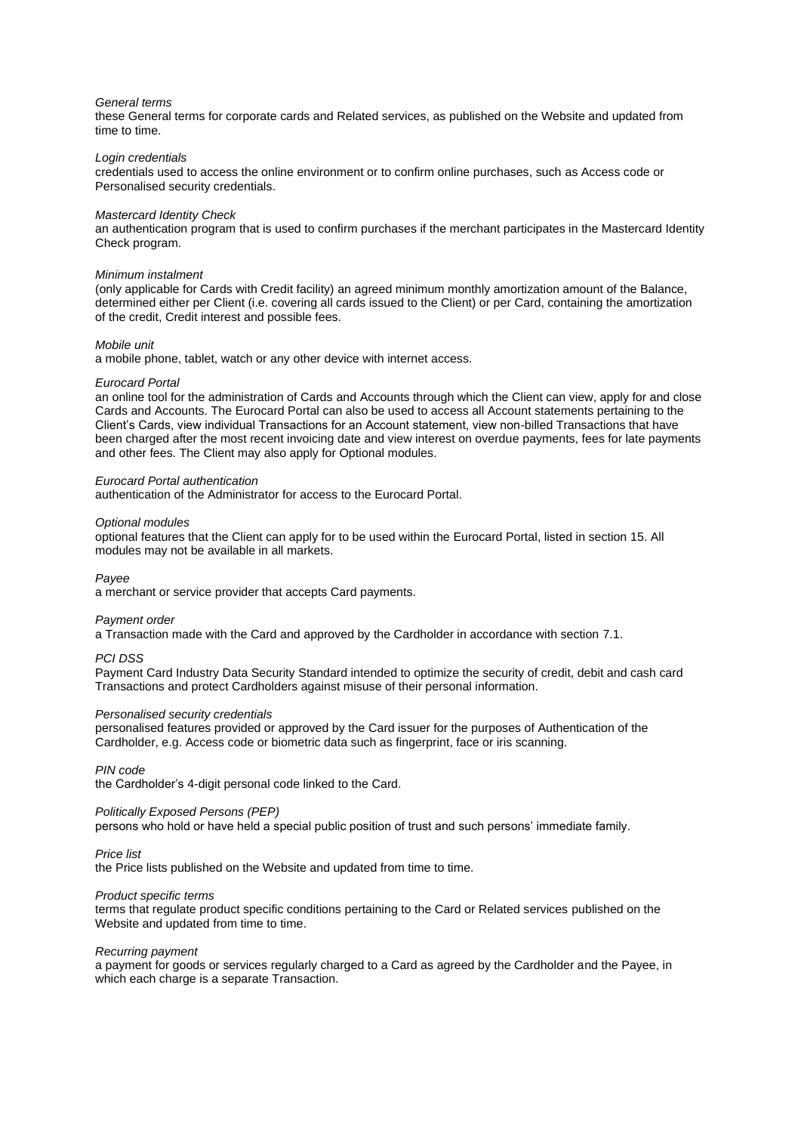#### *General terms*

these General terms for corporate cards and Related services, as published on the Website and updated from time to time.

#### *Login credentials*

credentials used to access the online environment or to confirm online purchases, such as Access code or Personalised security credentials.

#### *Mastercard Identity Check*

an authentication program that is used to confirm purchases if the merchant participates in the Mastercard Identity Check program.

#### *Minimum instalment*

(only applicable for Cards with Credit facility) an agreed minimum monthly amortization amount of the Balance, determined either per Client (i.e. covering all cards issued to the Client) or per Card, containing the amortization of the credit, Credit interest and possible fees.

## *Mobile unit*

a mobile phone, tablet, watch or any other device with internet access.

#### *Eurocard Portal*

an online tool for the administration of Cards and Accounts through which the Client can view, apply for and close Cards and Accounts. The Eurocard Portal can also be used to access all Account statements pertaining to the Client's Cards, view individual Transactions for an Account statement, view non-billed Transactions that have been charged after the most recent invoicing date and view interest on overdue payments, fees for late payments and other fees. The Client may also apply for Optional modules.

## *Eurocard Portal authentication*

authentication of the Administrator for access to the Eurocard Portal.

#### *Optional modules*

optional features that the Client can apply for to be used within the Eurocard Portal, listed in sectio[n 15.](#page-11-0) All modules may not be available in all markets.

*Payee* 

a merchant or service provider that accepts Card payments.

## *Payment order*

a Transaction made with the Card and approved by the Cardholder in accordance with section [7.1.](#page-7-0)

## *PCI DSS*

Payment Card Industry Data Security Standard intended to optimize the security of credit, debit and cash card Transactions and protect Cardholders against misuse of their personal information.

## *Personalised security credentials*

personalised features provided or approved by the Card issuer for the purposes of Authentication of the Cardholder, e.g. Access code or biometric data such as fingerprint, face or iris scanning.

*PIN code*

the Cardholder's 4-digit personal code linked to the Card.

## *Politically Exposed Persons (PEP)*

persons who hold or have held a special public position of trust and such persons' immediate family.

## *Price list*

the Price lists published on the Website and updated from time to time.

## *Product specific terms*

terms that regulate product specific conditions pertaining to the Card or Related services published on the Website and updated from time to time.

## *Recurring payment*

a payment for goods or services regularly charged to a Card as agreed by the Cardholder and the Payee, in which each charge is a separate Transaction.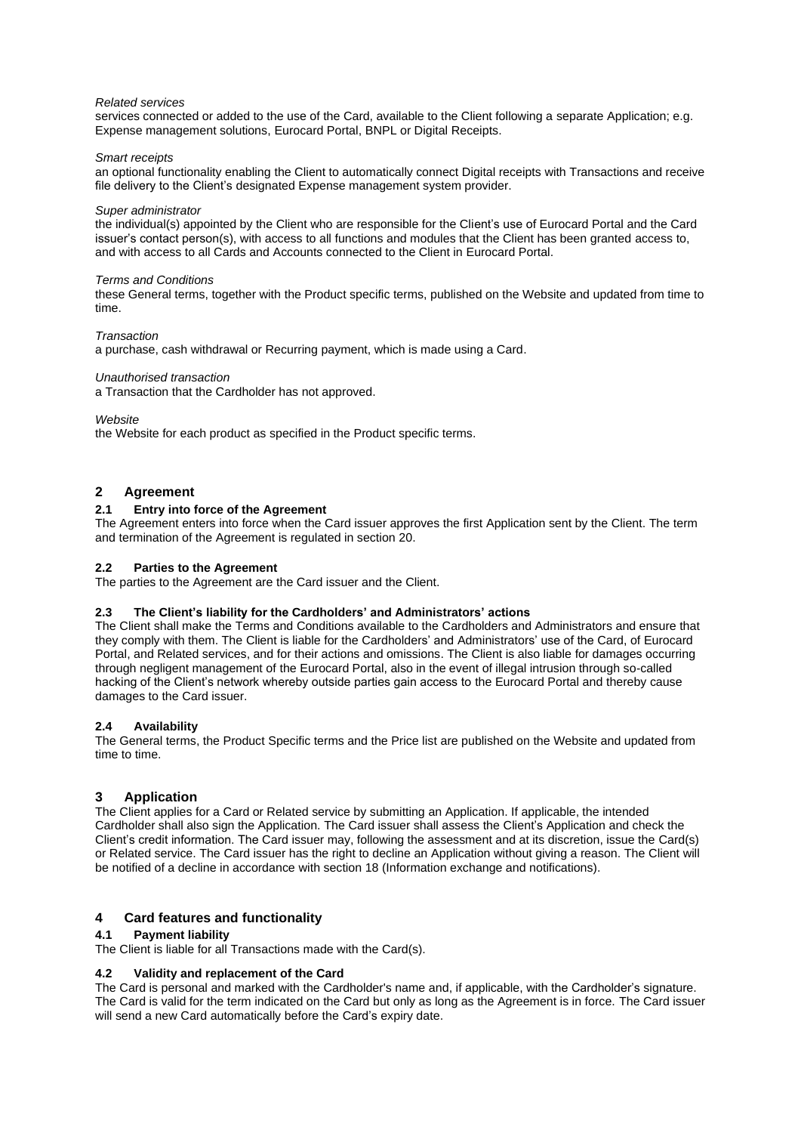## *Related services*

services connected or added to the use of the Card, available to the Client following a separate Application; e.g. Expense management solutions, Eurocard Portal, BNPL or Digital Receipts.

## *Smart receipts*

an optional functionality enabling the Client to automatically connect Digital receipts with Transactions and receive file delivery to the Client's designated Expense management system provider.

#### *Super administrator*

the individual(s) appointed by the Client who are responsible for the Client's use of Eurocard Portal and the Card issuer's contact person(s), with access to all functions and modules that the Client has been granted access to, and with access to all Cards and Accounts connected to the Client in Eurocard Portal.

#### *Terms and Conditions*

these General terms, together with the Product specific terms, published on the Website and updated from time to time.

#### *Transaction*

a purchase, cash withdrawal or Recurring payment, which is made using a Card.

#### *Unauthorised transaction*

a Transaction that the Cardholder has not approved.

#### *Website*

the Website for each product as specified in the Product specific terms.

## **2 Agreement**

# **2.1 Entry into force of the Agreement**

The Agreement enters into force when the Card issuer approves the first Application sent by the Client. The term and termination of the Agreement is regulated in section [20.](#page-13-0)

## **2.2 Parties to the Agreement**

The parties to the Agreement are the Card issuer and the Client.

## **2.3 The Client's liability for the Cardholders' and Administrators' actions**

The Client shall make the Terms and Conditions available to the Cardholders and Administrators and ensure that they comply with them. The Client is liable for the Cardholders' and Administrators' use of the Card, of Eurocard Portal, and Related services, and for their actions and omissions. The Client is also liable for damages occurring through negligent management of the Eurocard Portal, also in the event of illegal intrusion through so-called hacking of the Client's network whereby outside parties gain access to the Eurocard Portal and thereby cause damages to the Card issuer.

## **2.4 Availability**

The General terms, the Product Specific terms and the Price list are published on the Website and updated from time to time.

# **3 Application**

The Client applies for a Card or Related service by submitting an Application. If applicable, the intended Cardholder shall also sign the Application. The Card issuer shall assess the Client's Application and check the Client's credit information. The Card issuer may, following the assessment and at its discretion, issue the Card(s) or Related service. The Card issuer has the right to decline an Application without giving a reason. The Client will be notified of a decline in accordance with sectio[n 18](#page-12-0) (Information exchange and notifications).

# **4 Card features and functionality**

# **4.1 Payment liability**

The Client is liable for all Transactions made with the Card(s).

## **4.2 Validity and replacement of the Card**

The Card is personal and marked with the Cardholder's name and, if applicable, with the Cardholder's signature. The Card is valid for the term indicated on the Card but only as long as the Agreement is in force. The Card issuer will send a new Card automatically before the Card's expiry date.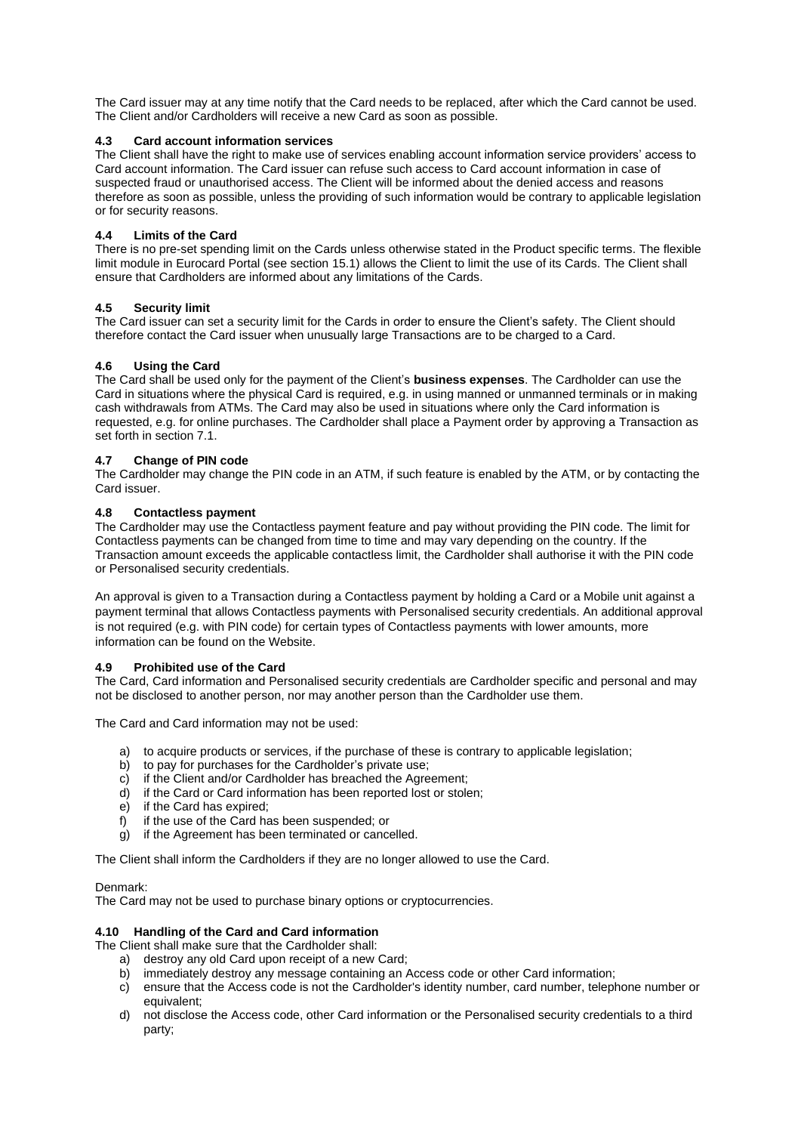The Card issuer may at any time notify that the Card needs to be replaced, after which the Card cannot be used. The Client and/or Cardholders will receive a new Card as soon as possible.

# **4.3 Card account information services**

The Client shall have the right to make use of services enabling account information service providers' access to Card account information. The Card issuer can refuse such access to Card account information in case of suspected fraud or unauthorised access. The Client will be informed about the denied access and reasons therefore as soon as possible, unless the providing of such information would be contrary to applicable legislation or for security reasons.

## **4.4 Limits of the Card**

There is no pre-set spending limit on the Cards unless otherwise stated in the Product specific terms. The flexible limit module in Eurocard Portal (see section [15.1\)](#page-11-1) allows the Client to limit the use of its Cards. The Client shall ensure that Cardholders are informed about any limitations of the Cards.

# **4.5 Security limit**

The Card issuer can set a security limit for the Cards in order to ensure the Client's safety. The Client should therefore contact the Card issuer when unusually large Transactions are to be charged to a Card.

# **4.6 Using the Card**

The Card shall be used only for the payment of the Client's **business expenses**. The Cardholder can use the Card in situations where the physical Card is required, e.g. in using manned or unmanned terminals or in making cash withdrawals from ATMs. The Card may also be used in situations where only the Card information is requested, e.g. for online purchases. The Cardholder shall place a Payment order by approving a Transaction as set forth in section [7.1.](#page-7-0)

# **4.7 Change of PIN code**

The Cardholder may change the PIN code in an ATM, if such feature is enabled by the ATM, or by contacting the Card issuer.

# **4.8 Contactless payment**

The Cardholder may use the Contactless payment feature and pay without providing the PIN code. The limit for Contactless payments can be changed from time to time and may vary depending on the country. If the Transaction amount exceeds the applicable contactless limit, the Cardholder shall authorise it with the PIN code or Personalised security credentials.

An approval is given to a Transaction during a Contactless payment by holding a Card or a Mobile unit against a payment terminal that allows Contactless payments with Personalised security credentials. An additional approval is not required (e.g. with PIN code) for certain types of Contactless payments with lower amounts, more information can be found on the Website.

# **4.9 Prohibited use of the Card**

The Card, Card information and Personalised security credentials are Cardholder specific and personal and may not be disclosed to another person, nor may another person than the Cardholder use them.

The Card and Card information may not be used:

- a) to acquire products or services, if the purchase of these is contrary to applicable legislation;
- b) to pay for purchases for the Cardholder's private use;
- c) if the Client and/or Cardholder has breached the Agreement;
- d) if the Card or Card information has been reported lost or stolen;
- e) if the Card has expired;
- f) if the use of the Card has been suspended; or
- g) if the Agreement has been terminated or cancelled.

The Client shall inform the Cardholders if they are no longer allowed to use the Card.

## Denmark:

The Card may not be used to purchase binary options or cryptocurrencies.

# <span id="page-4-0"></span>**4.10 Handling of the Card and Card information**

The Client shall make sure that the Cardholder shall:

- a) destroy any old Card upon receipt of a new Card;
- b) immediately destroy any message containing an Access code or other Card information;
- c) ensure that the Access code is not the Cardholder's identity number, card number, telephone number or equivalent;
- d) not disclose the Access code, other Card information or the Personalised security credentials to a third party;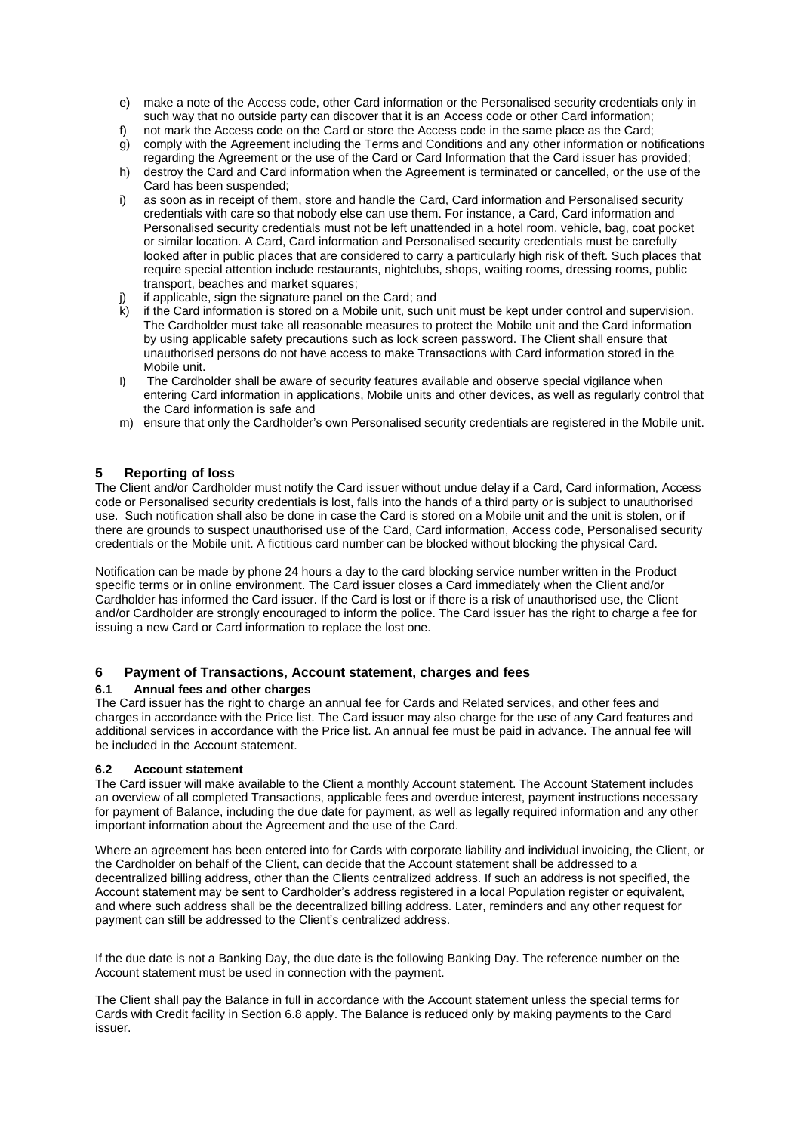- e) make a note of the Access code, other Card information or the Personalised security credentials only in such way that no outside party can discover that it is an Access code or other Card information;
- f) not mark the Access code on the Card or store the Access code in the same place as the Card; g) comply with the Agreement including the Terms and Conditions and any other information or notifications
- regarding the Agreement or the use of the Card or Card Information that the Card issuer has provided; h) destroy the Card and Card information when the Agreement is terminated or cancelled, or the use of the Card has been suspended;
- i) as soon as in receipt of them, store and handle the Card, Card information and Personalised security credentials with care so that nobody else can use them. For instance, a Card, Card information and Personalised security credentials must not be left unattended in a hotel room, vehicle, bag, coat pocket or similar location. A Card, Card information and Personalised security credentials must be carefully looked after in public places that are considered to carry a particularly high risk of theft. Such places that require special attention include restaurants, nightclubs, shops, waiting rooms, dressing rooms, public transport, beaches and market squares;
- j) if applicable, sign the signature panel on the Card; and
- k) if the Card information is stored on a Mobile unit, such unit must be kept under control and supervision. The Cardholder must take all reasonable measures to protect the Mobile unit and the Card information by using applicable safety precautions such as lock screen password. The Client shall ensure that unauthorised persons do not have access to make Transactions with Card information stored in the Mobile unit.
- l) The Cardholder shall be aware of security features available and observe special vigilance when entering Card information in applications, Mobile units and other devices, as well as regularly control that the Card information is safe and
- m) ensure that only the Cardholder's own Personalised security credentials are registered in the Mobile unit.

# <span id="page-5-1"></span>**5 Reporting of loss**

The Client and/or Cardholder must notify the Card issuer without undue delay if a Card, Card information, Access code or Personalised security credentials is lost, falls into the hands of a third party or is subject to unauthorised use. Such notification shall also be done in case the Card is stored on a Mobile unit and the unit is stolen, or if there are grounds to suspect unauthorised use of the Card, Card information, Access code, Personalised security credentials or the Mobile unit. A fictitious card number can be blocked without blocking the physical Card.

Notification can be made by phone 24 hours a day to the card blocking service number written in the Product specific terms or in online environment. The Card issuer closes a Card immediately when the Client and/or Cardholder has informed the Card issuer. If the Card is lost or if there is a risk of unauthorised use, the Client and/or Cardholder are strongly encouraged to inform the police. The Card issuer has the right to charge a fee for issuing a new Card or Card information to replace the lost one.

# **6 Payment of Transactions, Account statement, charges and fees**

# **6.1 Annual fees and other charges**

The Card issuer has the right to charge an annual fee for Cards and Related services, and other fees and charges in accordance with the Price list. The Card issuer may also charge for the use of any Card features and additional services in accordance with the Price list. An annual fee must be paid in advance. The annual fee will be included in the Account statement.

## <span id="page-5-0"></span>**6.2 Account statement**

The Card issuer will make available to the Client a monthly Account statement. The Account Statement includes an overview of all completed Transactions, applicable fees and overdue interest, payment instructions necessary for payment of Balance, including the due date for payment, as well as legally required information and any other important information about the Agreement and the use of the Card.

Where an agreement has been entered into for Cards with corporate liability and individual invoicing, the Client, or the Cardholder on behalf of the Client, can decide that the Account statement shall be addressed to a decentralized billing address, other than the Clients centralized address. If such an address is not specified, the Account statement may be sent to Cardholder's address registered in a local Population register or equivalent, and where such address shall be the decentralized billing address. Later, reminders and any other request for payment can still be addressed to the Client's centralized address.

If the due date is not a Banking Day, the due date is the following Banking Day. The reference number on the Account statement must be used in connection with the payment.

The Client shall pay the Balance in full in accordance with the Account statement unless the special terms for Cards with Credit facility in Section 6.8 apply. The Balance is reduced only by making payments to the Card issuer.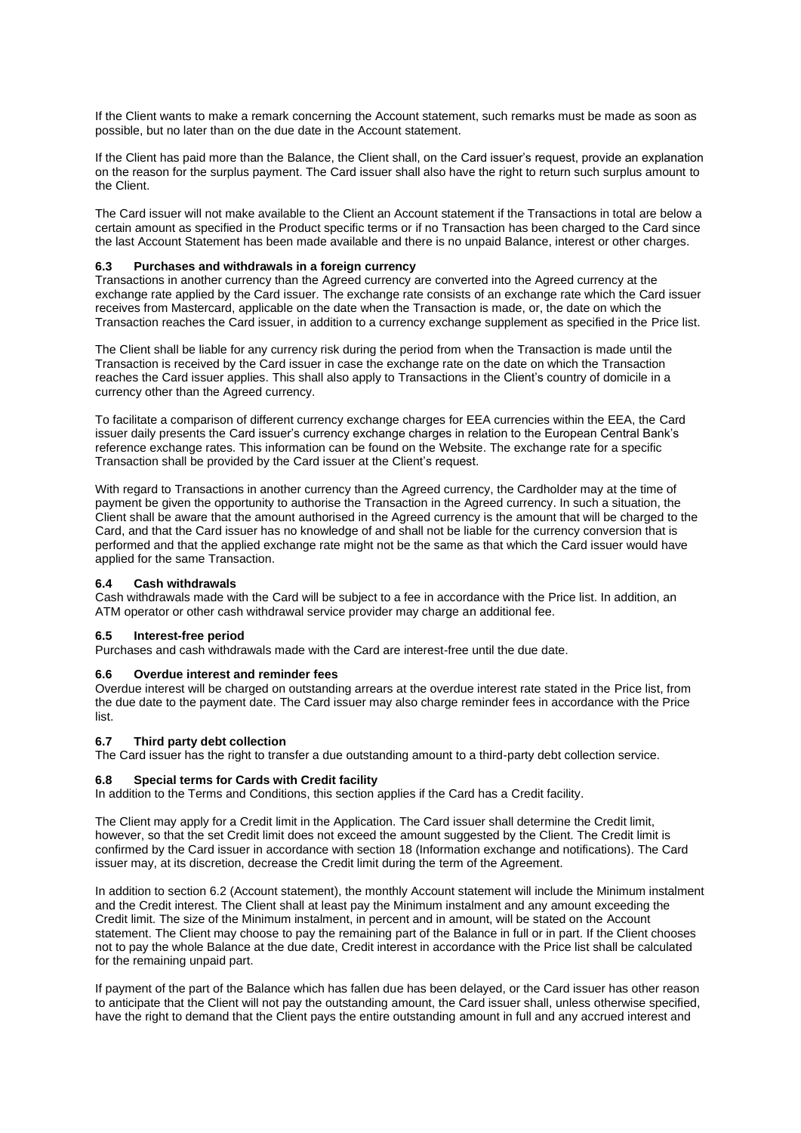If the Client wants to make a remark concerning the Account statement, such remarks must be made as soon as possible, but no later than on the due date in the Account statement.

If the Client has paid more than the Balance, the Client shall, on the Card issuer's request, provide an explanation on the reason for the surplus payment. The Card issuer shall also have the right to return such surplus amount to the Client.

The Card issuer will not make available to the Client an Account statement if the Transactions in total are below a certain amount as specified in the Product specific terms or if no Transaction has been charged to the Card since the last Account Statement has been made available and there is no unpaid Balance, interest or other charges.

## **6.3 Purchases and withdrawals in a foreign currency**

Transactions in another currency than the Agreed currency are converted into the Agreed currency at the exchange rate applied by the Card issuer. The exchange rate consists of an exchange rate which the Card issuer receives from Mastercard, applicable on the date when the Transaction is made, or, the date on which the Transaction reaches the Card issuer, in addition to a currency exchange supplement as specified in the Price list.

The Client shall be liable for any currency risk during the period from when the Transaction is made until the Transaction is received by the Card issuer in case the exchange rate on the date on which the Transaction reaches the Card issuer applies. This shall also apply to Transactions in the Client's country of domicile in a currency other than the Agreed currency.

To facilitate a comparison of different currency exchange charges for EEA currencies within the EEA, the Card issuer daily presents the Card issuer's currency exchange charges in relation to the European Central Bank's reference exchange rates. This information can be found on the Website. The exchange rate for a specific Transaction shall be provided by the Card issuer at the Client's request.

With regard to Transactions in another currency than the Agreed currency, the Cardholder may at the time of payment be given the opportunity to authorise the Transaction in the Agreed currency. In such a situation, the Client shall be aware that the amount authorised in the Agreed currency is the amount that will be charged to the Card, and that the Card issuer has no knowledge of and shall not be liable for the currency conversion that is performed and that the applied exchange rate might not be the same as that which the Card issuer would have applied for the same Transaction.

## **6.4 Cash withdrawals**

Cash withdrawals made with the Card will be subject to a fee in accordance with the Price list. In addition, an ATM operator or other cash withdrawal service provider may charge an additional fee.

## **6.5 Interest-free period**

Purchases and cash withdrawals made with the Card are interest-free until the due date.

## **6.6 Overdue interest and reminder fees**

Overdue interest will be charged on outstanding arrears at the overdue interest rate stated in the Price list, from the due date to the payment date. The Card issuer may also charge reminder fees in accordance with the Price list.

## **6.7 Third party debt collection**

The Card issuer has the right to transfer a due outstanding amount to a third-party debt collection service.

## **6.8 Special terms for Cards with Credit facility**

In addition to the Terms and Conditions, this section applies if the Card has a Credit facility.

The Client may apply for a Credit limit in the Application. The Card issuer shall determine the Credit limit, however, so that the set Credit limit does not exceed the amount suggested by the Client. The Credit limit is confirmed by the Card issuer in accordance with section [18](#page-12-0) (Information exchange and notifications). The Card issuer may, at its discretion, decrease the Credit limit during the term of the Agreement.

In addition to section [6.2](#page-5-0) (Account statement), the monthly Account statement will include the Minimum instalment and the Credit interest. The Client shall at least pay the Minimum instalment and any amount exceeding the Credit limit. The size of the Minimum instalment, in percent and in amount, will be stated on the Account statement. The Client may choose to pay the remaining part of the Balance in full or in part. If the Client chooses not to pay the whole Balance at the due date, Credit interest in accordance with the Price list shall be calculated for the remaining unpaid part.

If payment of the part of the Balance which has fallen due has been delayed, or the Card issuer has other reason to anticipate that the Client will not pay the outstanding amount, the Card issuer shall, unless otherwise specified, have the right to demand that the Client pays the entire outstanding amount in full and any accrued interest and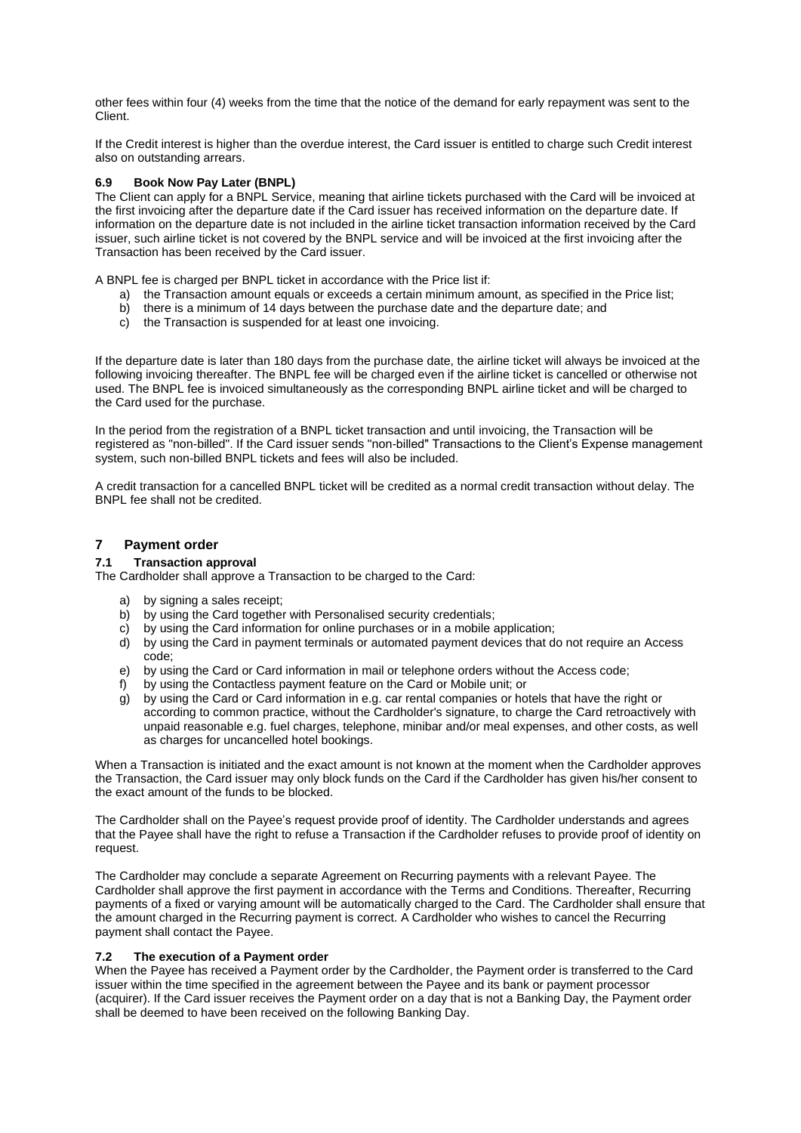other fees within four (4) weeks from the time that the notice of the demand for early repayment was sent to the Client.

If the Credit interest is higher than the overdue interest, the Card issuer is entitled to charge such Credit interest also on outstanding arrears.

# **6.9 Book Now Pay Later (BNPL)**

The Client can apply for a BNPL Service, meaning that airline tickets purchased with the Card will be invoiced at the first invoicing after the departure date if the Card issuer has received information on the departure date. If information on the departure date is not included in the airline ticket transaction information received by the Card issuer, such airline ticket is not covered by the BNPL service and will be invoiced at the first invoicing after the Transaction has been received by the Card issuer.

A BNPL fee is charged per BNPL ticket in accordance with the Price list if:

- a) the Transaction amount equals or exceeds a certain minimum amount, as specified in the Price list;
- b) there is a minimum of 14 days between the purchase date and the departure date; and
- c) the Transaction is suspended for at least one invoicing.

If the departure date is later than 180 days from the purchase date, the airline ticket will always be invoiced at the following invoicing thereafter. The BNPL fee will be charged even if the airline ticket is cancelled or otherwise not used. The BNPL fee is invoiced simultaneously as the corresponding BNPL airline ticket and will be charged to the Card used for the purchase.

In the period from the registration of a BNPL ticket transaction and until invoicing, the Transaction will be registered as "non-billed". If the Card issuer sends "non-billed" Transactions to the Client's Expense management system, such non-billed BNPL tickets and fees will also be included.

A credit transaction for a cancelled BNPL ticket will be credited as a normal credit transaction without delay. The BNPL fee shall not be credited.

# **7 Payment order**

# <span id="page-7-0"></span>**7.1 Transaction approval**

The Cardholder shall approve a Transaction to be charged to the Card:

- a) by signing a sales receipt:
- b) by using the Card together with Personalised security credentials;
- c) by using the Card information for online purchases or in a mobile application;
- d) by using the Card in payment terminals or automated payment devices that do not require an Access code;
- e) by using the Card or Card information in mail or telephone orders without the Access code;
- f) by using the Contactless payment feature on the Card or Mobile unit; or
- g) by using the Card or Card information in e.g. car rental companies or hotels that have the right or according to common practice, without the Cardholder's signature, to charge the Card retroactively with unpaid reasonable e.g. fuel charges, telephone, minibar and/or meal expenses, and other costs, as well as charges for uncancelled hotel bookings.

When a Transaction is initiated and the exact amount is not known at the moment when the Cardholder approves the Transaction, the Card issuer may only block funds on the Card if the Cardholder has given his/her consent to the exact amount of the funds to be blocked.

The Cardholder shall on the Payee's request provide proof of identity. The Cardholder understands and agrees that the Payee shall have the right to refuse a Transaction if the Cardholder refuses to provide proof of identity on request.

The Cardholder may conclude a separate Agreement on Recurring payments with a relevant Payee. The Cardholder shall approve the first payment in accordance with the Terms and Conditions. Thereafter, Recurring payments of a fixed or varying amount will be automatically charged to the Card. The Cardholder shall ensure that the amount charged in the Recurring payment is correct. A Cardholder who wishes to cancel the Recurring payment shall contact the Payee.

## **7.2 The execution of a Payment order**

When the Payee has received a Payment order by the Cardholder, the Payment order is transferred to the Card issuer within the time specified in the agreement between the Payee and its bank or payment processor (acquirer). If the Card issuer receives the Payment order on a day that is not a Banking Day, the Payment order shall be deemed to have been received on the following Banking Day.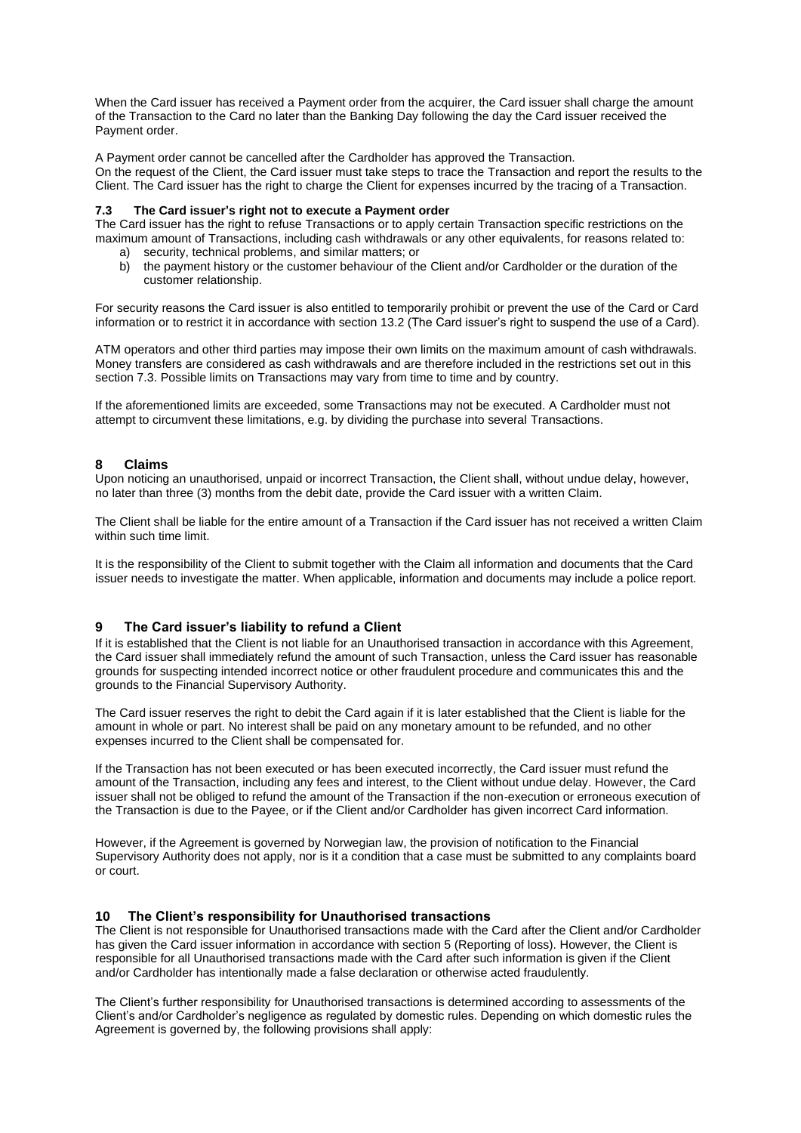When the Card issuer has received a Payment order from the acquirer, the Card issuer shall charge the amount of the Transaction to the Card no later than the Banking Day following the day the Card issuer received the Payment order.

A Payment order cannot be cancelled after the Cardholder has approved the Transaction.

On the request of the Client, the Card issuer must take steps to trace the Transaction and report the results to the Client. The Card issuer has the right to charge the Client for expenses incurred by the tracing of a Transaction.

# **7.3 The Card issuer's right not to execute a Payment order**

The Card issuer has the right to refuse Transactions or to apply certain Transaction specific restrictions on the maximum amount of Transactions, including cash withdrawals or any other equivalents, for reasons related to: a) security, technical problems, and similar matters; or

b) the payment history or the customer behaviour of the Client and/or Cardholder or the duration of the customer relationship.

For security reasons the Card issuer is also entitled to temporarily prohibit or prevent the use of the Card or Card information or to restrict it in accordance with section [13.2](#page-10-0) (The Card issuer's right to suspend the use of a Card).

ATM operators and other third parties may impose their own limits on the maximum amount of cash withdrawals. Money transfers are considered as cash withdrawals and are therefore included in the restrictions set out in this section 7.3. Possible limits on Transactions may vary from time to time and by country.

If the aforementioned limits are exceeded, some Transactions may not be executed. A Cardholder must not attempt to circumvent these limitations, e.g. by dividing the purchase into several Transactions.

# **8 Claims**

Upon noticing an unauthorised, unpaid or incorrect Transaction, the Client shall, without undue delay, however, no later than three (3) months from the debit date, provide the Card issuer with a written Claim.

The Client shall be liable for the entire amount of a Transaction if the Card issuer has not received a written Claim within such time limit.

It is the responsibility of the Client to submit together with the Claim all information and documents that the Card issuer needs to investigate the matter. When applicable, information and documents may include a police report.

# **9 The Card issuer's liability to refund a Client**

If it is established that the Client is not liable for an Unauthorised transaction in accordance with this Agreement, the Card issuer shall immediately refund the amount of such Transaction, unless the Card issuer has reasonable grounds for suspecting intended incorrect notice or other fraudulent procedure and communicates this and the grounds to the Financial Supervisory Authority.

The Card issuer reserves the right to debit the Card again if it is later established that the Client is liable for the amount in whole or part. No interest shall be paid on any monetary amount to be refunded, and no other expenses incurred to the Client shall be compensated for.

If the Transaction has not been executed or has been executed incorrectly, the Card issuer must refund the amount of the Transaction, including any fees and interest, to the Client without undue delay. However, the Card issuer shall not be obliged to refund the amount of the Transaction if the non-execution or erroneous execution of the Transaction is due to the Payee, or if the Client and/or Cardholder has given incorrect Card information.

However, if the Agreement is governed by Norwegian law, the provision of notification to the Financial Supervisory Authority does not apply, nor is it a condition that a case must be submitted to any complaints board or court.

## **10 The Client's responsibility for Unauthorised transactions**

The Client is not responsible for Unauthorised transactions made with the Card after the Client and/or Cardholder has given the Card issuer information in accordance with section 5 (Reporting of loss). However, the Client is responsible for all Unauthorised transactions made with the Card after such information is given if the Client and/or Cardholder has intentionally made a false declaration or otherwise acted fraudulently.

The Client's further responsibility for Unauthorised transactions is determined according to assessments of the Client's and/or Cardholder's negligence as regulated by domestic rules. Depending on which domestic rules the Agreement is governed by, the following provisions shall apply: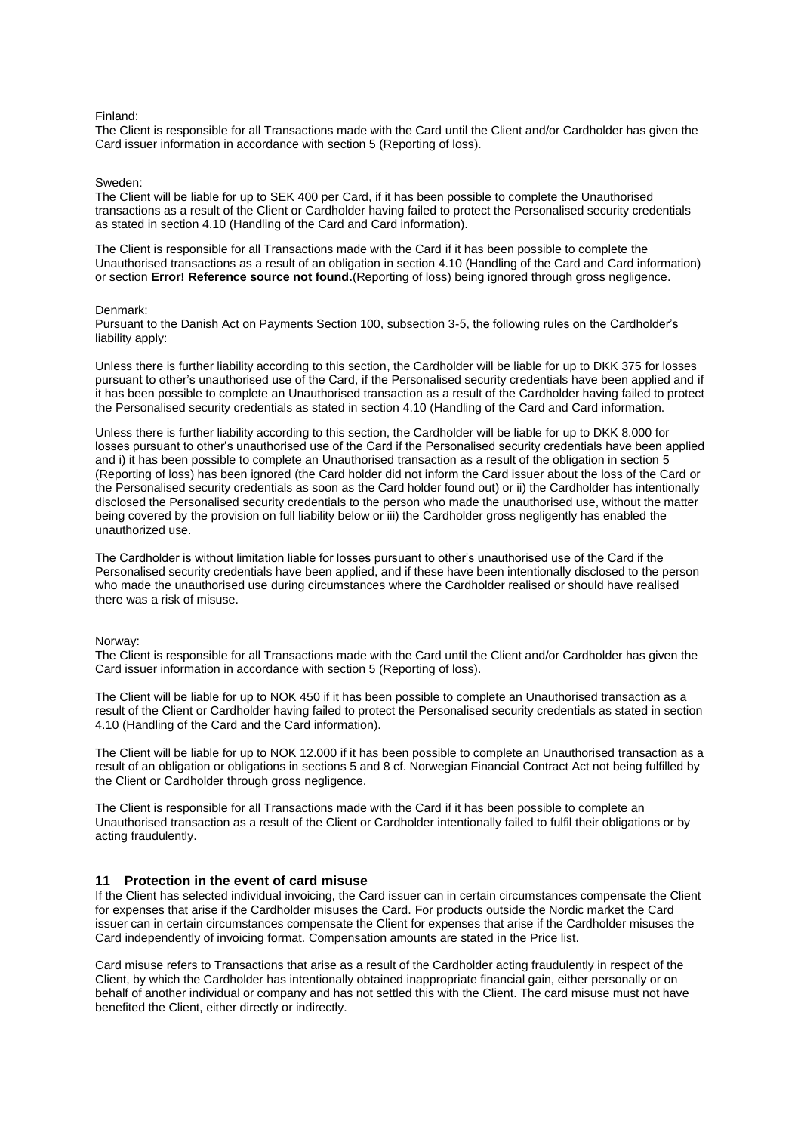#### Finland:

The Client is responsible for all Transactions made with the Card until the Client and/or Cardholder has given the Card issuer information in accordance with section 5 (Reporting of loss).

#### Sweden:

The Client will be liable for up to SEK 400 per Card, if it has been possible to complete the Unauthorised transactions as a result of the Client or Cardholder having failed to protect the Personalised security credentials as stated in section [4.10](#page-4-0) (Handling of the Card and Card information).

The Client is responsible for all Transactions made with the Card if it has been possible to complete the Unauthorised transactions as a result of an obligation in section 4.10 (Handling of the Card and Card information) or section **Error! Reference source not found.**(Reporting of loss) being ignored through gross negligence.

#### Denmark:

Pursuant to the Danish Act on Payments Section 100, subsection 3-5, the following rules on the Cardholder's liability apply:

Unless there is further liability according to this section, the Cardholder will be liable for up to DKK 375 for losses pursuant to other's unauthorised use of the Card, if the Personalised security credentials have been applied and if it has been possible to complete an Unauthorised transaction as a result of the Cardholder having failed to protect the Personalised security credentials as stated in section [4.10](#page-4-0) (Handling of the Card and Card information.

Unless there is further liability according to this section, the Cardholder will be liable for up to DKK 8.000 for losses pursuant to other's unauthorised use of the Card if the Personalised security credentials have been applied and i) it has been possible to complete an Unauthorised transaction as a result of the obligation in section [5](#page-5-1) (Reporting of loss) has been ignored (the Card holder did not inform the Card issuer about the loss of the Card or the Personalised security credentials as soon as the Card holder found out) or ii) the Cardholder has intentionally disclosed the Personalised security credentials to the person who made the unauthorised use, without the matter being covered by the provision on full liability below or iii) the Cardholder gross negligently has enabled the unauthorized use.

The Cardholder is without limitation liable for losses pursuant to other's unauthorised use of the Card if the Personalised security credentials have been applied, and if these have been intentionally disclosed to the person who made the unauthorised use during circumstances where the Cardholder realised or should have realised there was a risk of misuse.

#### Norway:

The Client is responsible for all Transactions made with the Card until the Client and/or Cardholder has given the Card issuer information in accordance with section 5 (Reporting of loss).

The Client will be liable for up to NOK 450 if it has been possible to complete an Unauthorised transaction as a result of the Client or Cardholder having failed to protect the Personalised security credentials as stated in section [4.10](#page-4-0) (Handling of the Card and the Card information).

The Client will be liable for up to NOK 12.000 if it has been possible to complete an Unauthorised transaction as a result of an obligation or obligations in sections 5 and 8 cf. Norwegian Financial Contract Act not being fulfilled by the Client or Cardholder through gross negligence.

The Client is responsible for all Transactions made with the Card if it has been possible to complete an Unauthorised transaction as a result of the Client or Cardholder intentionally failed to fulfil their obligations or by acting fraudulently.

## **11 Protection in the event of card misuse**

If the Client has selected individual invoicing, the Card issuer can in certain circumstances compensate the Client for expenses that arise if the Cardholder misuses the Card. For products outside the Nordic market the Card issuer can in certain circumstances compensate the Client for expenses that arise if the Cardholder misuses the Card independently of invoicing format. Compensation amounts are stated in the Price list.

Card misuse refers to Transactions that arise as a result of the Cardholder acting fraudulently in respect of the Client, by which the Cardholder has intentionally obtained inappropriate financial gain, either personally or on behalf of another individual or company and has not settled this with the Client. The card misuse must not have benefited the Client, either directly or indirectly.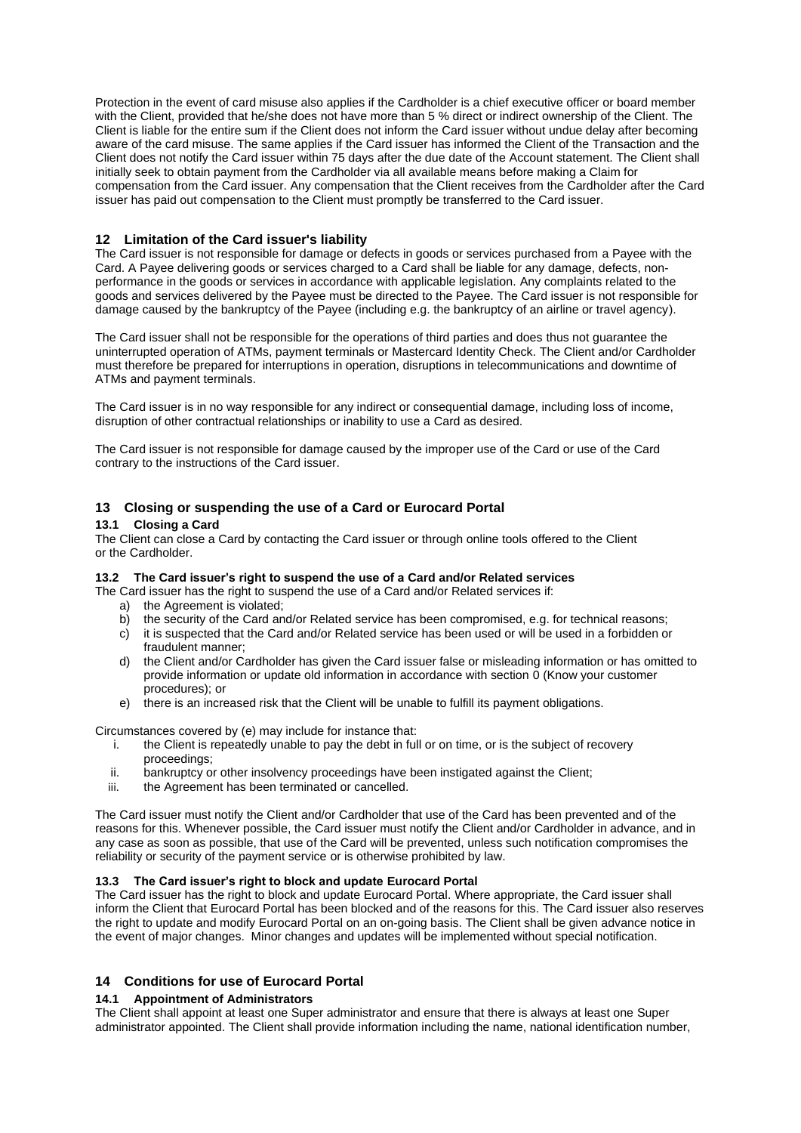Protection in the event of card misuse also applies if the Cardholder is a chief executive officer or board member with the Client, provided that he/she does not have more than 5 % direct or indirect ownership of the Client. The Client is liable for the entire sum if the Client does not inform the Card issuer without undue delay after becoming aware of the card misuse. The same applies if the Card issuer has informed the Client of the Transaction and the Client does not notify the Card issuer within 75 days after the due date of the Account statement. The Client shall initially seek to obtain payment from the Cardholder via all available means before making a Claim for compensation from the Card issuer. Any compensation that the Client receives from the Cardholder after the Card issuer has paid out compensation to the Client must promptly be transferred to the Card issuer.

# **12 Limitation of the Card issuer's liability**

The Card issuer is not responsible for damage or defects in goods or services purchased from a Payee with the Card. A Payee delivering goods or services charged to a Card shall be liable for any damage, defects, nonperformance in the goods or services in accordance with applicable legislation. Any complaints related to the goods and services delivered by the Payee must be directed to the Payee. The Card issuer is not responsible for damage caused by the bankruptcy of the Payee (including e.g. the bankruptcy of an airline or travel agency).

The Card issuer shall not be responsible for the operations of third parties and does thus not guarantee the uninterrupted operation of ATMs, payment terminals or Mastercard Identity Check. The Client and/or Cardholder must therefore be prepared for interruptions in operation, disruptions in telecommunications and downtime of ATMs and payment terminals.

The Card issuer is in no way responsible for any indirect or consequential damage, including loss of income, disruption of other contractual relationships or inability to use a Card as desired.

The Card issuer is not responsible for damage caused by the improper use of the Card or use of the Card contrary to the instructions of the Card issuer.

# **13 Closing or suspending the use of a Card or Eurocard Portal**

## **13.1 Closing a Card**

The Client can close a Card by contacting the Card issuer or through online tools offered to the Client or the Cardholder.

## <span id="page-10-0"></span>**13.2 The Card issuer's right to suspend the use of a Card and/or Related services**

The Card issuer has the right to suspend the use of a Card and/or Related services if: a) the Agreement is violated;

- b) the security of the Card and/or Related service has been compromised, e.g. for technical reasons;
- c) it is suspected that the Card and/or Related service has been used or will be used in a forbidden or
- fraudulent manner;
- d) the Client and/or Cardholder has given the Card issuer false or misleading information or has omitted to provide information or update old information in accordance with section [0](#page-12-1) (Know your customer procedures); or
- e) there is an increased risk that the Client will be unable to fulfill its payment obligations.

Circumstances covered by (e) may include for instance that:

- i. the Client is repeatedly unable to pay the debt in full or on time, or is the subject of recovery proceedings;
- ii. bankruptcy or other insolvency proceedings have been instigated against the Client;<br>iii. the Agreement has been terminated or cancelled.
- the Agreement has been terminated or cancelled.

The Card issuer must notify the Client and/or Cardholder that use of the Card has been prevented and of the reasons for this. Whenever possible, the Card issuer must notify the Client and/or Cardholder in advance, and in any case as soon as possible, that use of the Card will be prevented, unless such notification compromises the reliability or security of the payment service or is otherwise prohibited by law.

# **13.3 The Card issuer's right to block and update Eurocard Portal**

The Card issuer has the right to block and update Eurocard Portal. Where appropriate, the Card issuer shall inform the Client that Eurocard Portal has been blocked and of the reasons for this. The Card issuer also reserves the right to update and modify Eurocard Portal on an on-going basis. The Client shall be given advance notice in the event of major changes. Minor changes and updates will be implemented without special notification.

# **14 Conditions for use of Eurocard Portal**

# **14.1 Appointment of Administrators**

The Client shall appoint at least one Super administrator and ensure that there is always at least one Super administrator appointed. The Client shall provide information including the name, national identification number,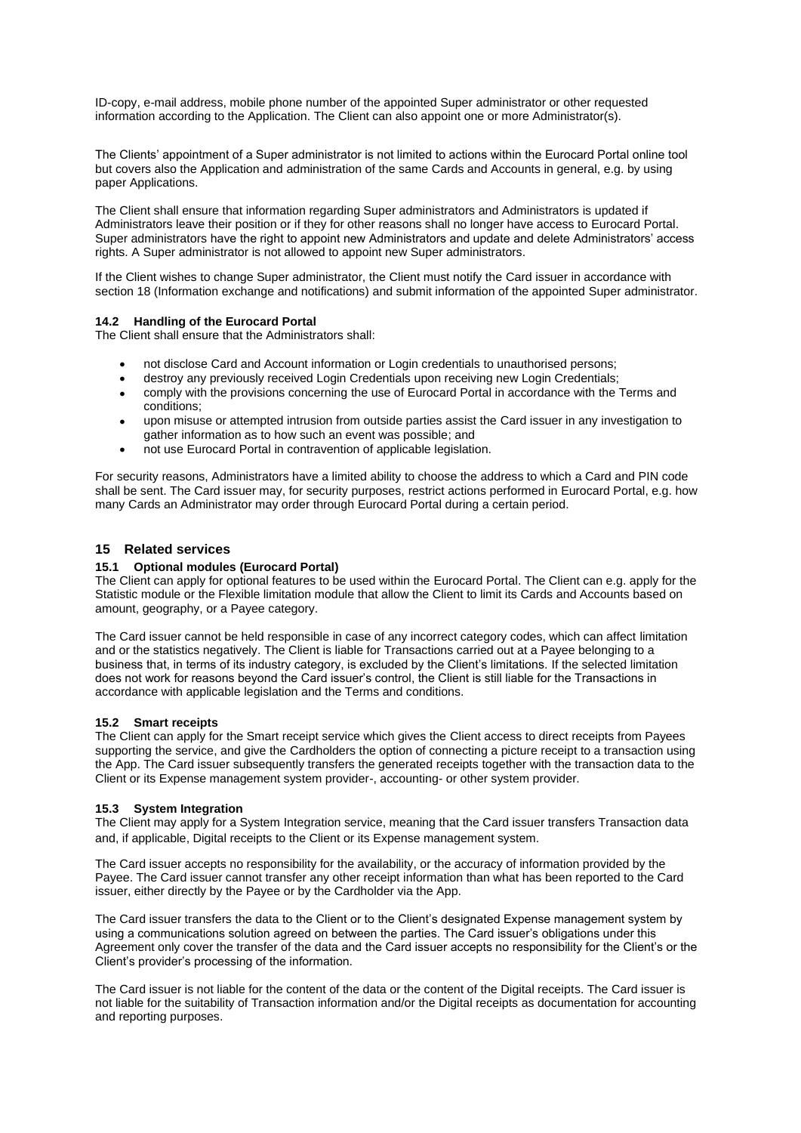ID-copy, e-mail address, mobile phone number of the appointed Super administrator or other requested information according to the Application. The Client can also appoint one or more Administrator(s).

The Clients' appointment of a Super administrator is not limited to actions within the Eurocard Portal online tool but covers also the Application and administration of the same Cards and Accounts in general, e.g. by using paper Applications.

The Client shall ensure that information regarding Super administrators and Administrators is updated if Administrators leave their position or if they for other reasons shall no longer have access to Eurocard Portal. Super administrators have the right to appoint new Administrators and update and delete Administrators' access rights. A Super administrator is not allowed to appoint new Super administrators.

If the Client wishes to change Super administrator, the Client must notify the Card issuer in accordance with section [18](#page-12-0) (Information exchange and notifications) and submit information of the appointed Super administrator.

# **14.2 Handling of the Eurocard Portal**

The Client shall ensure that the Administrators shall:

- not disclose Card and Account information or Login credentials to unauthorised persons;
- destroy any previously received Login Credentials upon receiving new Login Credentials;
- comply with the provisions concerning the use of Eurocard Portal in accordance with the Terms and conditions;
- upon misuse or attempted intrusion from outside parties assist the Card issuer in any investigation to gather information as to how such an event was possible; and
- not use Eurocard Portal in contravention of applicable legislation.

For security reasons, Administrators have a limited ability to choose the address to which a Card and PIN code shall be sent. The Card issuer may, for security purposes, restrict actions performed in Eurocard Portal, e.g. how many Cards an Administrator may order through Eurocard Portal during a certain period.

## <span id="page-11-0"></span>**15 Related services**

#### <span id="page-11-1"></span>**15.1 Optional modules (Eurocard Portal)**

The Client can apply for optional features to be used within the Eurocard Portal. The Client can e.g. apply for the Statistic module or the Flexible limitation module that allow the Client to limit its Cards and Accounts based on amount, geography, or a Payee category.

The Card issuer cannot be held responsible in case of any incorrect category codes, which can affect limitation and or the statistics negatively. The Client is liable for Transactions carried out at a Payee belonging to a business that, in terms of its industry category, is excluded by the Client's limitations. If the selected limitation does not work for reasons beyond the Card issuer's control, the Client is still liable for the Transactions in accordance with applicable legislation and the Terms and conditions.

#### **15.2 Smart receipts**

The Client can apply for the Smart receipt service which gives the Client access to direct receipts from Payees supporting the service, and give the Cardholders the option of connecting a picture receipt to a transaction using the App. The Card issuer subsequently transfers the generated receipts together with the transaction data to the Client or its Expense management system provider-, accounting- or other system provider.

## **15.3 System Integration**

The Client may apply for a System Integration service, meaning that the Card issuer transfers Transaction data and, if applicable, Digital receipts to the Client or its Expense management system.

The Card issuer accepts no responsibility for the availability, or the accuracy of information provided by the Payee. The Card issuer cannot transfer any other receipt information than what has been reported to the Card issuer, either directly by the Payee or by the Cardholder via the App.

The Card issuer transfers the data to the Client or to the Client's designated Expense management system by using a communications solution agreed on between the parties. The Card issuer's obligations under this Agreement only cover the transfer of the data and the Card issuer accepts no responsibility for the Client's or the Client's provider's processing of the information.

The Card issuer is not liable for the content of the data or the content of the Digital receipts. The Card issuer is not liable for the suitability of Transaction information and/or the Digital receipts as documentation for accounting and reporting purposes.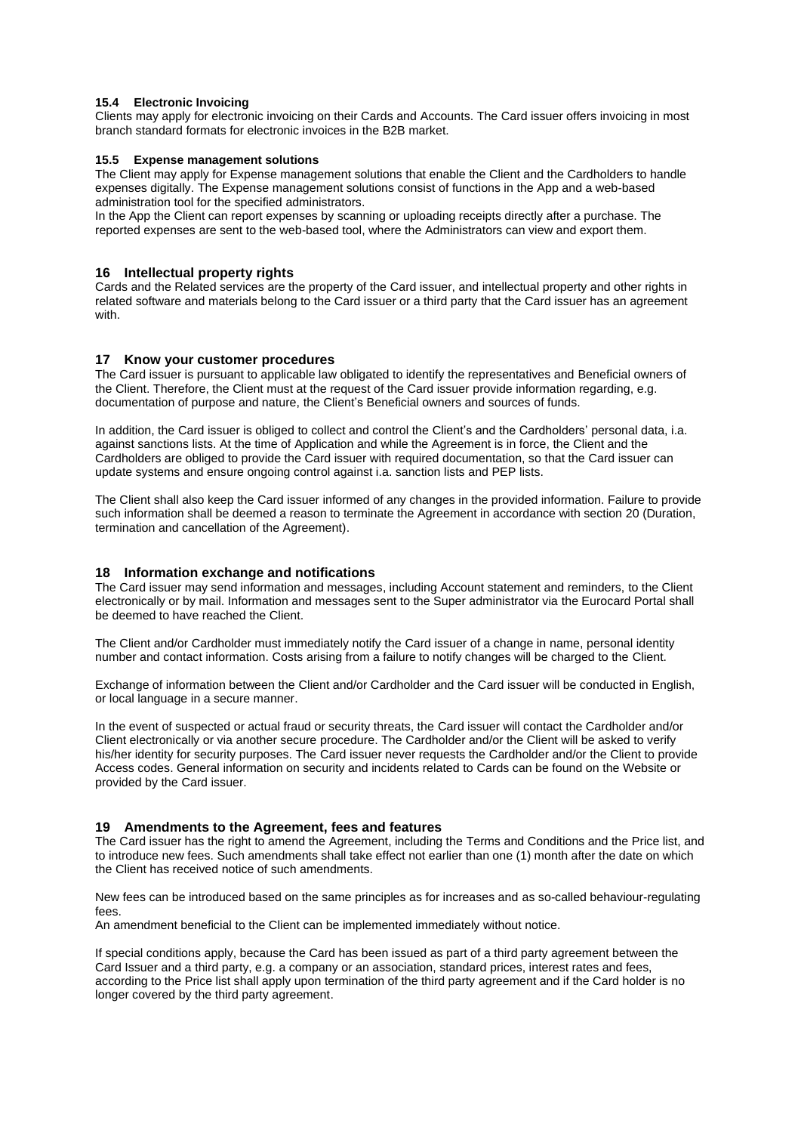# **15.4 Electronic Invoicing**

Clients may apply for electronic invoicing on their Cards and Accounts. The Card issuer offers invoicing in most branch standard formats for electronic invoices in the B2B market.

## **15.5 Expense management solutions**

The Client may apply for Expense management solutions that enable the Client and the Cardholders to handle expenses digitally. The Expense management solutions consist of functions in the App and a web-based administration tool for the specified administrators.

In the App the Client can report expenses by scanning or uploading receipts directly after a purchase. The reported expenses are sent to the web-based tool, where the Administrators can view and export them.

## **16 Intellectual property rights**

Cards and the Related services are the property of the Card issuer, and intellectual property and other rights in related software and materials belong to the Card issuer or a third party that the Card issuer has an agreement with.

## <span id="page-12-1"></span>**17 Know your customer procedures**

The Card issuer is pursuant to applicable law obligated to identify the representatives and Beneficial owners of the Client. Therefore, the Client must at the request of the Card issuer provide information regarding, e.g. documentation of purpose and nature, the Client's Beneficial owners and sources of funds.

In addition, the Card issuer is obliged to collect and control the Client's and the Cardholders' personal data, i.a. against sanctions lists. At the time of Application and while the Agreement is in force, the Client and the Cardholders are obliged to provide the Card issuer with required documentation, so that the Card issuer can update systems and ensure ongoing control against i.a. sanction lists and PEP lists.

The Client shall also keep the Card issuer informed of any changes in the provided information. Failure to provide such information shall be deemed a reason to terminate the Agreement in accordance with section [20](#page-13-0) (Duration, termination and cancellation of the Agreement).

## <span id="page-12-0"></span>**18 Information exchange and notifications**

The Card issuer may send information and messages, including Account statement and reminders, to the Client electronically or by mail. Information and messages sent to the Super administrator via the Eurocard Portal shall be deemed to have reached the Client.

The Client and/or Cardholder must immediately notify the Card issuer of a change in name, personal identity number and contact information. Costs arising from a failure to notify changes will be charged to the Client.

Exchange of information between the Client and/or Cardholder and the Card issuer will be conducted in English, or local language in a secure manner.

In the event of suspected or actual fraud or security threats, the Card issuer will contact the Cardholder and/or Client electronically or via another secure procedure. The Cardholder and/or the Client will be asked to verify his/her identity for security purposes. The Card issuer never requests the Cardholder and/or the Client to provide Access codes. General information on security and incidents related to Cards can be found on the Website or provided by the Card issuer.

## **19 Amendments to the Agreement, fees and features**

The Card issuer has the right to amend the Agreement, including the Terms and Conditions and the Price list, and to introduce new fees. Such amendments shall take effect not earlier than one (1) month after the date on which the Client has received notice of such amendments.

New fees can be introduced based on the same principles as for increases and as so-called behaviour-regulating fees.

An amendment beneficial to the Client can be implemented immediately without notice.

If special conditions apply, because the Card has been issued as part of a third party agreement between the Card Issuer and a third party, e.g. a company or an association, standard prices, interest rates and fees, according to the Price list shall apply upon termination of the third party agreement and if the Card holder is no longer covered by the third party agreement.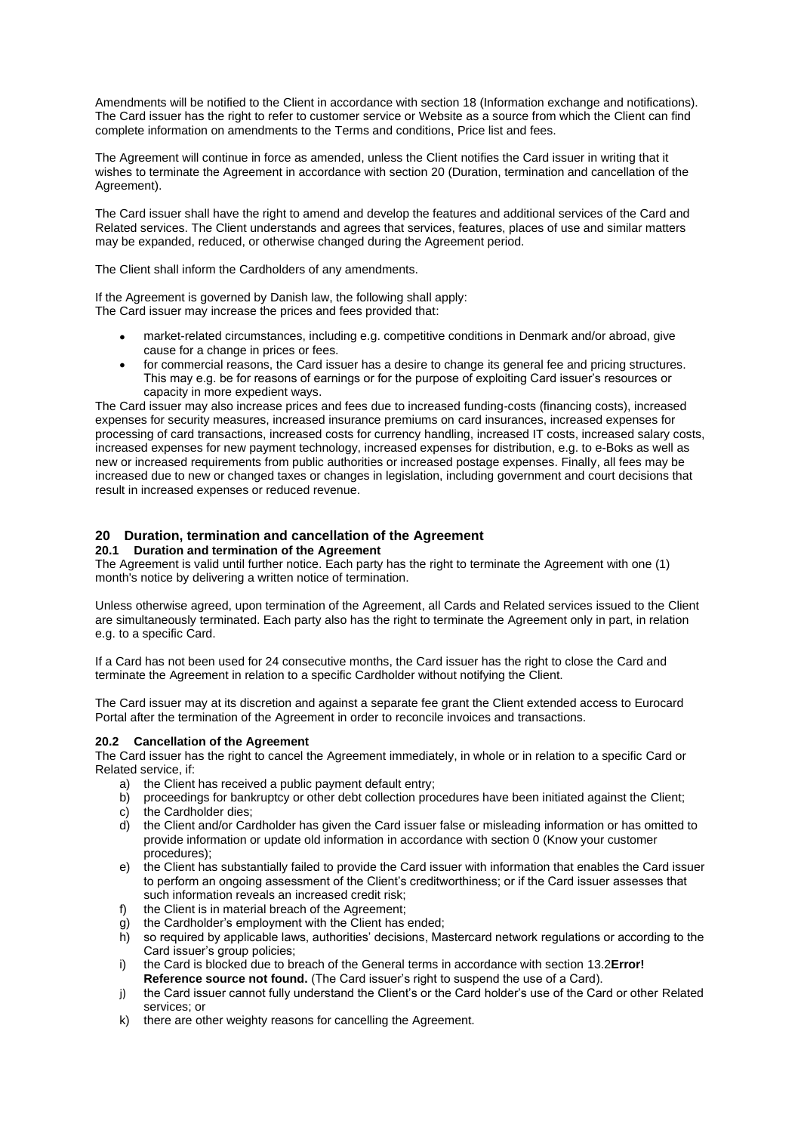Amendments will be notified to the Client in accordance with section [18](#page-12-0) (Information exchange and notifications). The Card issuer has the right to refer to customer service or Website as a source from which the Client can find complete information on amendments to the Terms and conditions, Price list and fees.

The Agreement will continue in force as amended, unless the Client notifies the Card issuer in writing that it wishes to terminate the Agreement in accordance with section [20](#page-13-0) (Duration, termination and cancellation of the Agreement).

The Card issuer shall have the right to amend and develop the features and additional services of the Card and Related services. The Client understands and agrees that services, features, places of use and similar matters may be expanded, reduced, or otherwise changed during the Agreement period.

The Client shall inform the Cardholders of any amendments.

If the Agreement is governed by Danish law, the following shall apply: The Card issuer may increase the prices and fees provided that:

- market-related circumstances, including e.g. competitive conditions in Denmark and/or abroad, give cause for a change in prices or fees.
- for commercial reasons, the Card issuer has a desire to change its general fee and pricing structures. This may e.g. be for reasons of earnings or for the purpose of exploiting Card issuer's resources or capacity in more expedient ways.

The Card issuer may also increase prices and fees due to increased funding-costs (financing costs), increased expenses for security measures, increased insurance premiums on card insurances, increased expenses for processing of card transactions, increased costs for currency handling, increased IT costs, increased salary costs, increased expenses for new payment technology, increased expenses for distribution, e.g. to e-Boks as well as new or increased requirements from public authorities or increased postage expenses. Finally, all fees may be increased due to new or changed taxes or changes in legislation, including government and court decisions that result in increased expenses or reduced revenue.

# <span id="page-13-0"></span>**20 Duration, termination and cancellation of the Agreement**

# **20.1 Duration and termination of the Agreement**

The Agreement is valid until further notice. Each party has the right to terminate the Agreement with one (1) month's notice by delivering a written notice of termination.

Unless otherwise agreed, upon termination of the Agreement, all Cards and Related services issued to the Client are simultaneously terminated. Each party also has the right to terminate the Agreement only in part, in relation e.g. to a specific Card.

If a Card has not been used for 24 consecutive months, the Card issuer has the right to close the Card and terminate the Agreement in relation to a specific Cardholder without notifying the Client.

The Card issuer may at its discretion and against a separate fee grant the Client extended access to Eurocard Portal after the termination of the Agreement in order to reconcile invoices and transactions.

# **20.2 Cancellation of the Agreement**

The Card issuer has the right to cancel the Agreement immediately, in whole or in relation to a specific Card or Related service, if:

- a) the Client has received a public payment default entry;
- b) proceedings for bankruptcy or other debt collection procedures have been initiated against the Client;
- c) the Cardholder dies;
- d) the Client and/or Cardholder has given the Card issuer false or misleading information or has omitted to provide information or update old information in accordance with section [0](#page-12-1) (Know your customer procedures);
- e) the Client has substantially failed to provide the Card issuer with information that enables the Card issuer to perform an ongoing assessment of the Client's creditworthiness; or if the Card issuer assesses that such information reveals an increased credit risk;
- f) the Client is in material breach of the Agreement:
- g) the Cardholder's employment with the Client has ended;
- h) so required by applicable laws, authorities' decisions, Mastercard network regulations or according to the Card issuer's group policies;
- i) the Card is blocked due to breach of the General terms in accordance with section [13.2](#page-10-0)**Error! Reference source not found.** (The Card issuer's right to suspend the use of a Card).
- j) the Card issuer cannot fully understand the Client's or the Card holder's use of the Card or other Related services; or
- k) there are other weighty reasons for cancelling the Agreement.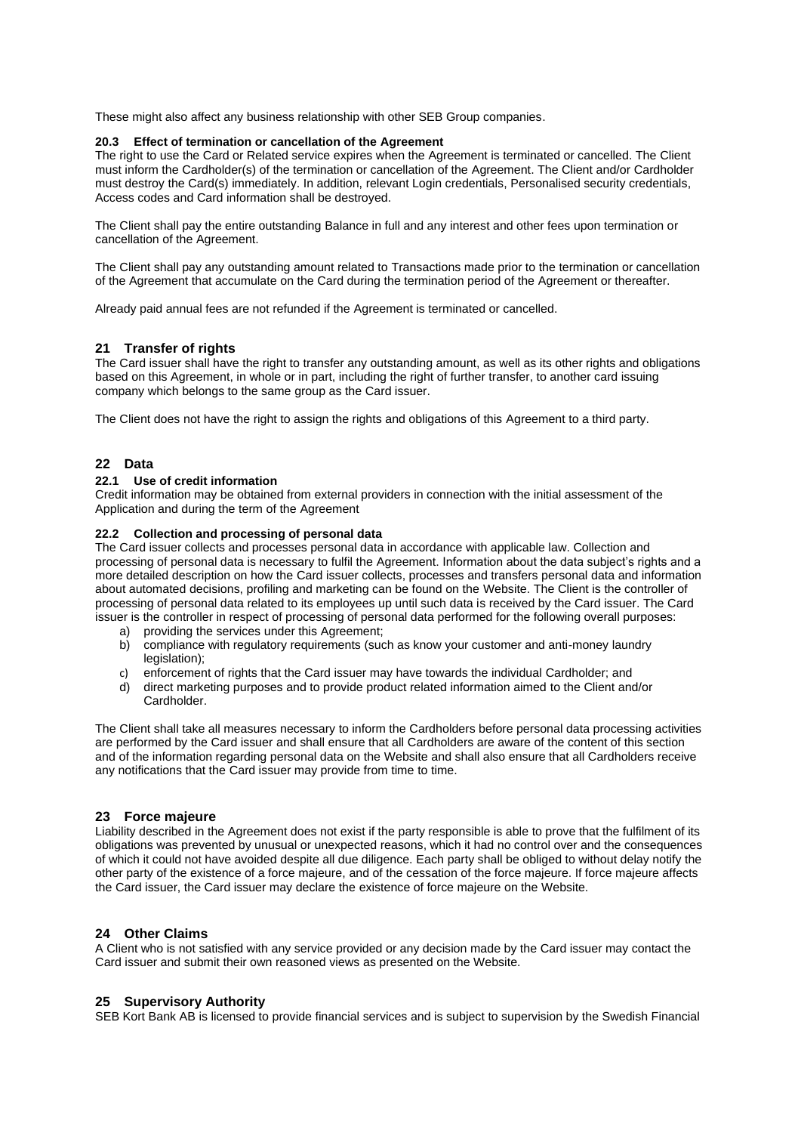These might also affect any business relationship with other SEB Group companies.

#### **20.3 Effect of termination or cancellation of the Agreement**

The right to use the Card or Related service expires when the Agreement is terminated or cancelled. The Client must inform the Cardholder(s) of the termination or cancellation of the Agreement. The Client and/or Cardholder must destroy the Card(s) immediately. In addition, relevant Login credentials, Personalised security credentials, Access codes and Card information shall be destroyed.

The Client shall pay the entire outstanding Balance in full and any interest and other fees upon termination or cancellation of the Agreement.

The Client shall pay any outstanding amount related to Transactions made prior to the termination or cancellation of the Agreement that accumulate on the Card during the termination period of the Agreement or thereafter.

Already paid annual fees are not refunded if the Agreement is terminated or cancelled.

# **21 Transfer of rights**

The Card issuer shall have the right to transfer any outstanding amount, as well as its other rights and obligations based on this Agreement, in whole or in part, including the right of further transfer, to another card issuing company which belongs to the same group as the Card issuer.

The Client does not have the right to assign the rights and obligations of this Agreement to a third party.

# **22 Data**

#### **22.1 Use of credit information**

Credit information may be obtained from external providers in connection with the initial assessment of the Application and during the term of the Agreement

#### **22.2 Collection and processing of personal data**

The Card issuer collects and processes personal data in accordance with applicable law. Collection and processing of personal data is necessary to fulfil the Agreement. Information about the data subject's rights and a more detailed description on how the Card issuer collects, processes and transfers personal data and information about automated decisions, profiling and marketing can be found on the Website. The Client is the controller of processing of personal data related to its employees up until such data is received by the Card issuer. The Card issuer is the controller in respect of processing of personal data performed for the following overall purposes:

- a) providing the services under this Agreement;
- b) compliance with regulatory requirements (such as know your customer and anti-money laundry legislation);
- c) enforcement of rights that the Card issuer may have towards the individual Cardholder; and
- d) direct marketing purposes and to provide product related information aimed to the Client and/or Cardholder.

The Client shall take all measures necessary to inform the Cardholders before personal data processing activities are performed by the Card issuer and shall ensure that all Cardholders are aware of the content of this section and of the information regarding personal data on the Website and shall also ensure that all Cardholders receive any notifications that the Card issuer may provide from time to time.

## **23 Force majeure**

Liability described in the Agreement does not exist if the party responsible is able to prove that the fulfilment of its obligations was prevented by unusual or unexpected reasons, which it had no control over and the consequences of which it could not have avoided despite all due diligence. Each party shall be obliged to without delay notify the other party of the existence of a force majeure, and of the cessation of the force majeure. If force majeure affects the Card issuer, the Card issuer may declare the existence of force majeure on the Website.

## **24 Other Claims**

A Client who is not satisfied with any service provided or any decision made by the Card issuer may contact the Card issuer and submit their own reasoned views as presented on the Website.

# **25 Supervisory Authority**

SEB Kort Bank AB is licensed to provide financial services and is subject to supervision by the Swedish Financial